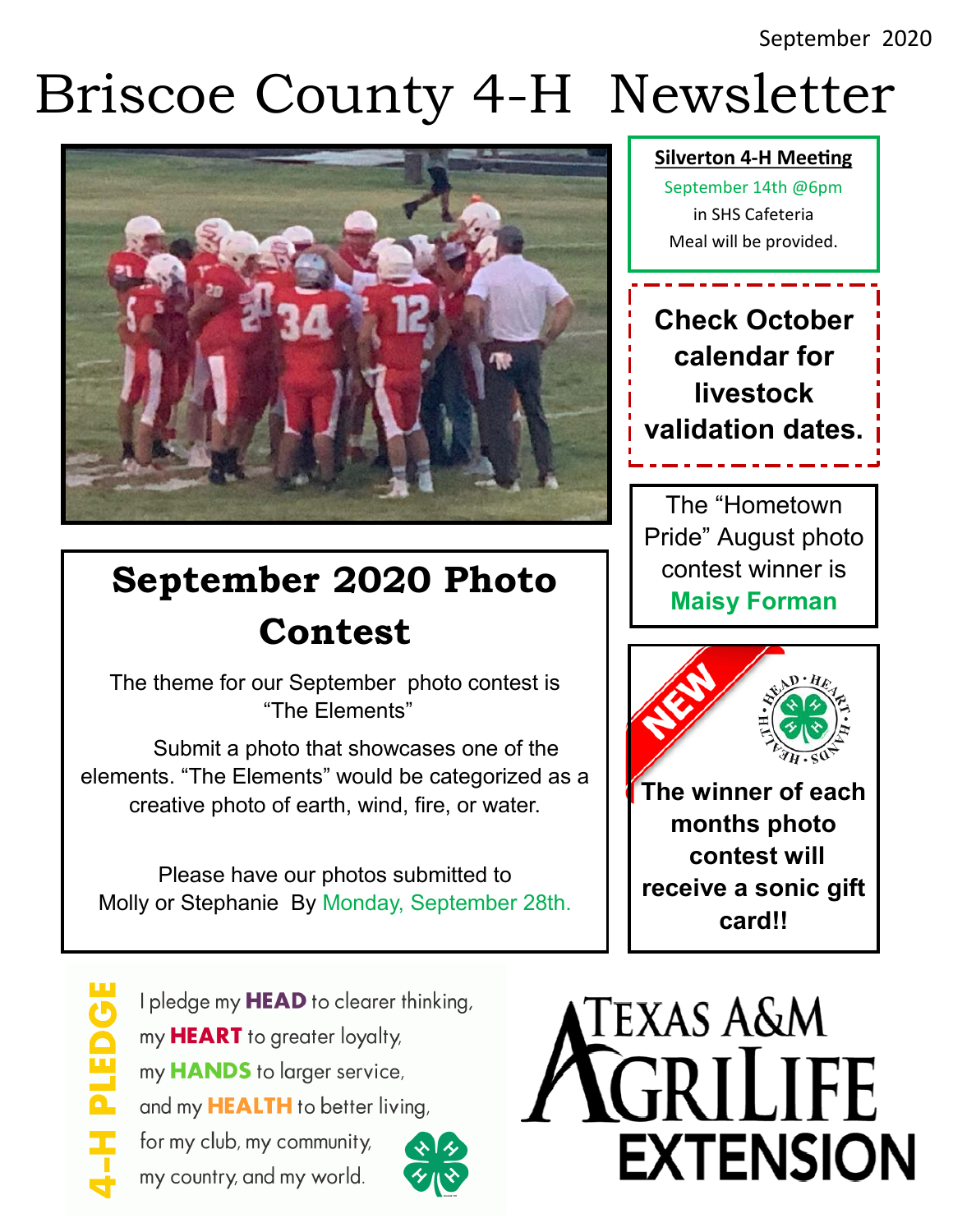# Briscoe County 4-H Newsletter



# **September 2020 Photo Contest**

The theme for our September photo contest is "The Elements"

 Submit a photo that showcases one of the elements. "The Elements" would be categorized as a creative photo of earth, wind, fire, or water.

Please have our photos submitted to Molly or Stephanie By Monday, September 28th. **Silverton 4-H Meeting** 

September 14th @6pm in SHS Cafeteria Meal will be provided.

**Check October calendar for livestock validation dates.** 

The "Hometown Pride" August photo contest winner is **Maisy Forman**





I pledge my **HEAD** to clearer thinking, my **HEART** to greater loyalty, my **HANDS** to larger service, and my **HEALTH** to better living, for my club, my community,

my country, and my world.



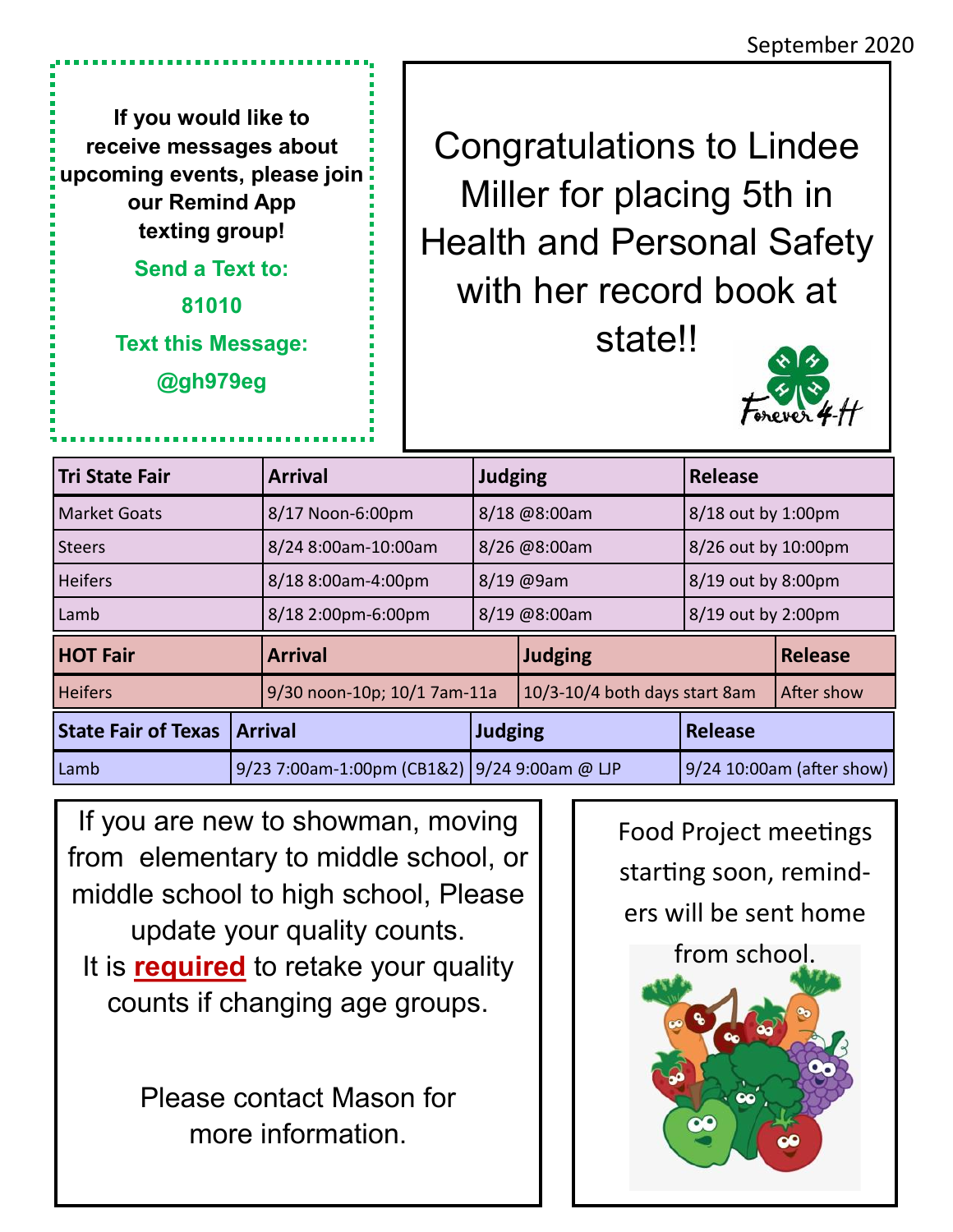**If you would like to receive messages about upcoming events, please join our Remind App texting group!** 

**Send a Text to:**

**81010 Text this Message:**

**@gh979eg**

Congratulations to Lindee Miller for placing 5th in Health and Personal Safety with her record book at state!!



| <b>Tri State Fair</b>      |                                              | <b>Arrival</b>              | <b>Judging</b> |                               | <b>Release</b>            |                |
|----------------------------|----------------------------------------------|-----------------------------|----------------|-------------------------------|---------------------------|----------------|
| <b>Market Goats</b>        |                                              | 8/17 Noon-6:00pm            | 8/18 @8:00am   |                               | 8/18 out by 1:00pm        |                |
| <b>Steers</b>              |                                              | 8/24 8:00am-10:00am         | 8/26 @8:00am   |                               | 8/26 out by 10:00pm       |                |
| <b>Heifers</b>             |                                              | 8/18 8:00am-4:00pm          | 8/19 @9am      |                               | 8/19 out by 8:00pm        |                |
| Lamb                       |                                              | 8/18 2:00pm-6:00pm          | 8/19 @8:00am   |                               | 8/19 out by 2:00pm        |                |
| <b>HOT Fair</b>            |                                              | <b>Arrival</b>              |                | <b>Judging</b>                |                           | <b>Release</b> |
| <b>Heifers</b>             |                                              | 9/30 noon-10p; 10/1 7am-11a |                | 10/3-10/4 both days start 8am |                           | After show     |
| <b>State Fair of Texas</b> | <b>Arrival</b>                               |                             | <b>Judging</b> |                               | <b>Release</b>            |                |
| Lamb                       | 9/23 7:00am-1:00pm (CB1&2) 9/24 9:00am @ LJP |                             |                |                               | 9/24 10:00am (after show) |                |

If you are new to showman, moving from elementary to middle school, or middle school to high school, Please update your quality counts. It is **required** to retake your quality counts if changing age groups.

> Please contact Mason for more information.

Food Project meetings starting soon, reminders will be sent home from school.